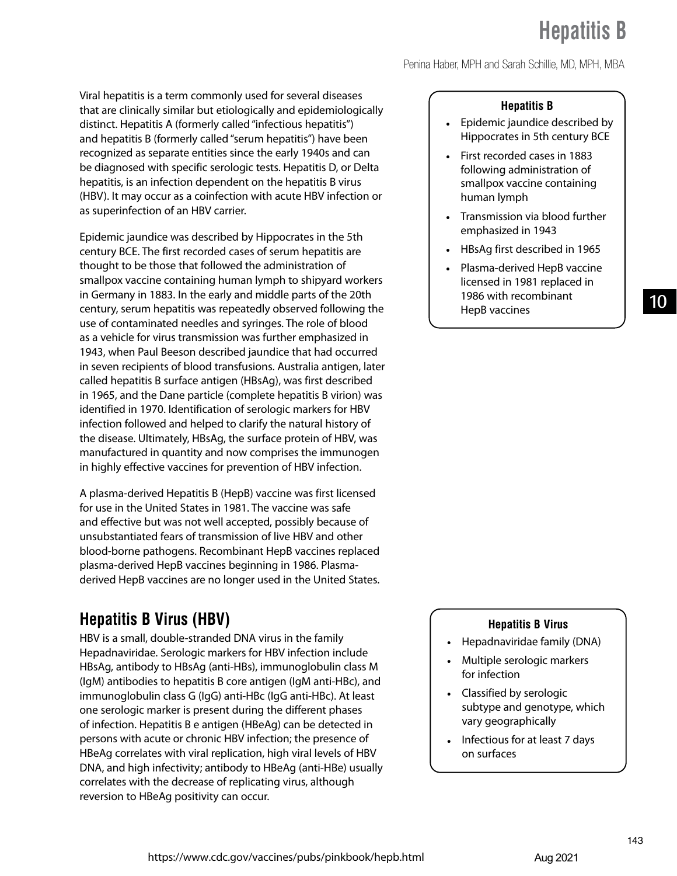Penina Haber, MPH and Sarah Schillie, MD, MPH, MBA

Viral hepatitis is a term commonly used for several diseases that are clinically similar but etiologically and epidemiologically distinct. Hepatitis A (formerly called "infectious hepatitis") and hepatitis B (formerly called "serum hepatitis") have been recognized as separate entities since the early 1940s and can be diagnosed with specific serologic tests. Hepatitis D, or Delta hepatitis, is an infection dependent on the hepatitis B virus (HBV). It may occur as a coinfection with acute HBV infection or as superinfection of an HBV carrier.

Epidemic jaundice was described by Hippocrates in the 5th century BCE. The first recorded cases of serum hepatitis are thought to be those that followed the administration of smallpox vaccine containing human lymph to shipyard workers in Germany in 1883. In the early and middle parts of the 20th century, serum hepatitis was repeatedly observed following the use of contaminated needles and syringes. The role of blood as a vehicle for virus transmission was further emphasized in 1943, when Paul Beeson described jaundice that had occurred in seven recipients of blood transfusions. Australia antigen, later called hepatitis B surface antigen (HBsAg), was first described in 1965, and the Dane particle (complete hepatitis B virion) was identified in 1970. Identification of serologic markers for HBV infection followed and helped to clarify the natural history of the disease. Ultimately, HBsAg, the surface protein of HBV, was manufactured in quantity and now comprises the immunogen in highly effective vaccines for prevention of HBV infection.

A plasma-derived Hepatitis B (HepB) vaccine was first licensed for use in the United States in 1981. The vaccine was safe and effective but was not well accepted, possibly because of unsubstantiated fears of transmission of live HBV and other blood-borne pathogens. Recombinant HepB vaccines replaced plasma-derived HepB vaccines beginning in 1986. Plasmaderived HepB vaccines are no longer used in the United States.

## **Hepatitis B Virus (HBV)**

HBV is a small, double-stranded DNA virus in the family Hepadnaviridae. Serologic markers for HBV infection include HBsAg, antibody to HBsAg (anti-HBs), immunoglobulin class M (IgM) antibodies to hepatitis B core antigen (IgM anti-HBc), and immunoglobulin class G (IgG) anti-HBc (IgG anti-HBc). At least one serologic marker is present during the different phases of infection. Hepatitis B e antigen (HBeAg) can be detected in persons with acute or chronic HBV infection; the presence of HBeAg correlates with viral replication, high viral levels of HBV DNA, and high infectivity; antibody to HBeAg (anti-HBe) usually correlates with the decrease of replicating virus, although reversion to HBeAg positivity can occur.

#### **Hepatitis B**

- Epidemic jaundice described by Hippocrates in 5th century BCE
- First recorded cases in 1883 following administration of smallpox vaccine containing human lymph
- Transmission via blood further emphasized in 1943
- HBsAg first described in 1965
- Plasma-derived HepB vaccine licensed in 1981 replaced in 1986 with recombinant HepB vaccines

## 10

#### **Hepatitis B Virus**

- Hepadnaviridae family (DNA)
- Multiple serologic markers for infection
- Classified by serologic subtype and genotype, which vary geographically
- Infectious for at least 7 days on surfaces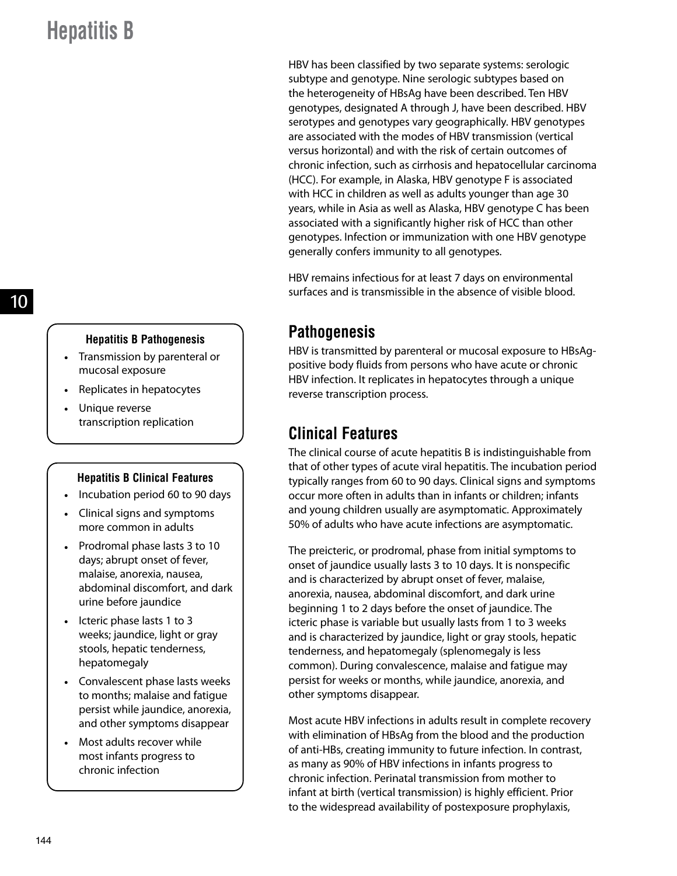10

#### **Hepatitis B Pathogenesis**

- Transmission by parenteral or mucosal exposure
- Replicates in hepatocytes
- Unique reverse transcription replication

#### **Hepatitis B Clinical Features**

- Incubation period 60 to 90 days
- Clinical signs and symptoms more common in adults
- Prodromal phase lasts 3 to 10 days; abrupt onset of fever, malaise, anorexia, nausea, abdominal discomfort, and dark urine before jaundice
- Icteric phase lasts 1 to 3 weeks; jaundice, light or gray stools, hepatic tenderness, hepatomegaly
- Convalescent phase lasts weeks to months; malaise and fatigue persist while jaundice, anorexia, and other symptoms disappear
- Most adults recover while most infants progress to chronic infection

HBV has been classified by two separate systems: serologic subtype and genotype. Nine serologic subtypes based on the heterogeneity of HBsAg have been described. Ten HBV genotypes, designated A through J, have been described. HBV serotypes and genotypes vary geographically. HBV genotypes are associated with the modes of HBV transmission (vertical versus horizontal) and with the risk of certain outcomes of chronic infection, such as cirrhosis and hepatocellular carcinoma (HCC). For example, in Alaska, HBV genotype F is associated with HCC in children as well as adults younger than age 30 years, while in Asia as well as Alaska, HBV genotype C has been associated with a significantly higher risk of HCC than other genotypes. Infection or immunization with one HBV genotype generally confers immunity to all genotypes.

HBV remains infectious for at least 7 days on environmental surfaces and is transmissible in the absence of visible blood.

## **Pathogenesis**

HBV is transmitted by parenteral or mucosal exposure to HBsAgpositive body fluids from persons who have acute or chronic HBV infection. It replicates in hepatocytes through a unique reverse transcription process.

## **Clinical Features**

The clinical course of acute hepatitis B is indistinguishable from that of other types of acute viral hepatitis. The incubation period typically ranges from 60 to 90 days. Clinical signs and symptoms occur more often in adults than in infants or children; infants and young children usually are asymptomatic. Approximately 50% of adults who have acute infections are asymptomatic.

The preicteric, or prodromal, phase from initial symptoms to onset of jaundice usually lasts 3 to 10 days. It is nonspecific and is characterized by abrupt onset of fever, malaise, anorexia, nausea, abdominal discomfort, and dark urine beginning 1 to 2 days before the onset of jaundice. The icteric phase is variable but usually lasts from 1 to 3 weeks and is characterized by jaundice, light or gray stools, hepatic tenderness, and hepatomegaly (splenomegaly is less common). During convalescence, malaise and fatigue may persist for weeks or months, while jaundice, anorexia, and other symptoms disappear.

Most acute HBV infections in adults result in complete recovery with elimination of HBsAg from the blood and the production of anti-HBs, creating immunity to future infection. In contrast, as many as 90% of HBV infections in infants progress to chronic infection. Perinatal transmission from mother to infant at birth (vertical transmission) is highly efficient. Prior to the widespread availability of postexposure prophylaxis,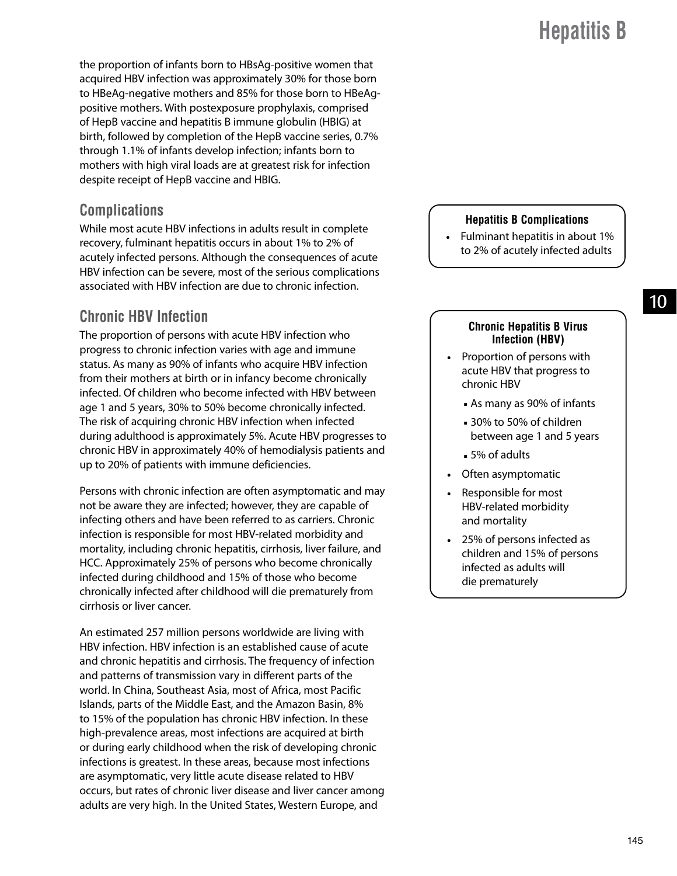the proportion of infants born to HBsAg-positive women that acquired HBV infection was approximately 30% for those born to HBeAg-negative mothers and 85% for those born to HBeAgpositive mothers. With postexposure prophylaxis, comprised of HepB vaccine and hepatitis B immune globulin (HBIG) at birth, followed by completion of the HepB vaccine series, 0.7% through 1.1% of infants develop infection; infants born to mothers with high viral loads are at greatest risk for infection despite receipt of HepB vaccine and HBIG.

### **Complications**

While most acute HBV infections in adults result in complete recovery, fulminant hepatitis occurs in about 1% to 2% of acutely infected persons. Although the consequences of acute HBV infection can be severe, most of the serious complications associated with HBV infection are due to chronic infection.

### **Chronic HBV Infection**

The proportion of persons with acute HBV infection who progress to chronic infection varies with age and immune status. As many as 90% of infants who acquire HBV infection from their mothers at birth or in infancy become chronically infected. Of children who become infected with HBV between age 1 and 5 years, 30% to 50% become chronically infected. The risk of acquiring chronic HBV infection when infected during adulthood is approximately 5%. Acute HBV progresses to chronic HBV in approximately 40% of hemodialysis patients and up to 20% of patients with immune deficiencies.

Persons with chronic infection are often asymptomatic and may not be aware they are infected; however, they are capable of infecting others and have been referred to as carriers. Chronic infection is responsible for most HBV-related morbidity and mortality, including chronic hepatitis, cirrhosis, liver failure, and HCC. Approximately 25% of persons who become chronically infected during childhood and 15% of those who become chronically infected after childhood will die prematurely from cirrhosis or liver cancer.

An estimated 257 million persons worldwide are living with HBV infection. HBV infection is an established cause of acute and chronic hepatitis and cirrhosis. The frequency of infection and patterns of transmission vary in different parts of the world. In China, Southeast Asia, most of Africa, most Pacific Islands, parts of the Middle East, and the Amazon Basin, 8% to 15% of the population has chronic HBV infection. In these high-prevalence areas, most infections are acquired at birth or during early childhood when the risk of developing chronic infections is greatest. In these areas, because most infections are asymptomatic, very little acute disease related to HBV occurs, but rates of chronic liver disease and liver cancer among adults are very high. In the United States, Western Europe, and

#### **Hepatitis B Complications**

● Fulminant hepatitis in about 1% to 2% of acutely infected adults

#### 10

#### **Chronic Hepatitis B Virus Infection (HBV)**

- Proportion of persons with acute HBV that progress to chronic HBV
	- As many as 90% of infants
	- 30% to 50% of children between age 1 and 5 years
	- 5% of adults
- Often asymptomatic
- Responsible for most HBV-related morbidity and mortality
- 25% of persons infected as children and 15% of persons infected as adults will die prematurely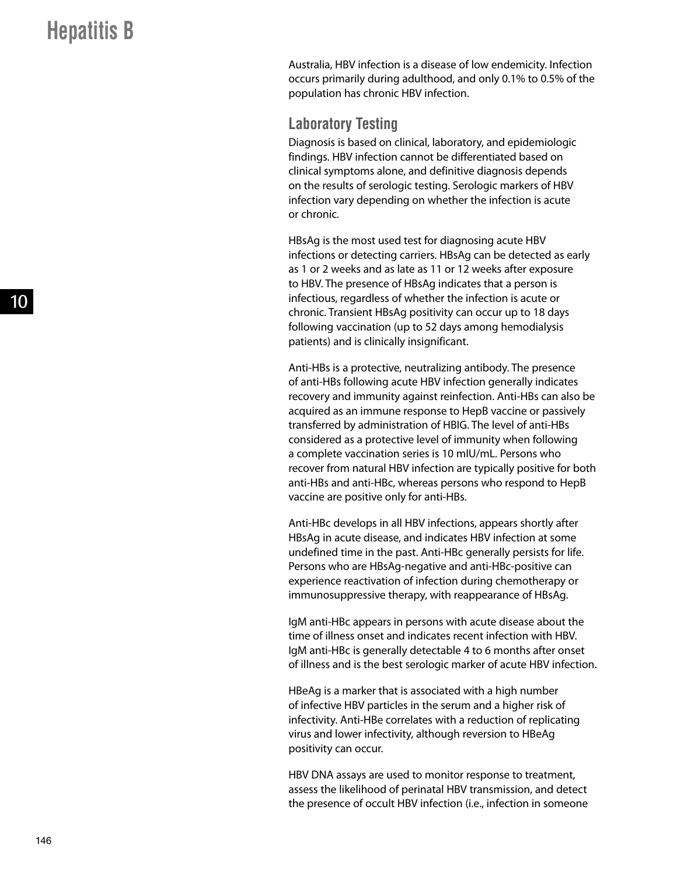Australia, HBV infection is a disease of low endemicity. Infection occurs primarily during adulthood, and only 0.1% to 0.5% of the population has chronic HBV infection.

### **Laboratory Testing**

Diagnosis is based on clinical, laboratory, and epidemiologic findings. HBV infection cannot be differentiated based on clinical symptoms alone, and definitive diagnosis depends on the results of serologic testing. Serologic markers of HBV infection vary depending on whether the infection is acute or chronic.

HBsAg is the most used test for diagnosing acute HBV infections or detecting carriers. HBsAg can be detected as early as 1 or 2 weeks and as late as 11 or 12 weeks after exposure to HBV. The presence of HBsAg indicates that a person is infectious, regardless of whether the infection is acute or chronic. Transient HBsAg positivity can occur up to 18 days following vaccination (up to 52 days among hemodialysis patients) and is clinically insignificant.

Anti-HBs is a protective, neutralizing antibody. The presence of anti-HBs following acute HBV infection generally indicates recovery and immunity against reinfection. Anti-HBs can also be acquired as an immune response to HepB vaccine or passively transferred by administration of HBIG. The level of anti-HBs considered as a protective level of immunity when following a complete vaccination series is 10 mIU/mL. Persons who recover from natural HBV infection are typically positive for both anti-HBs and anti-HBc, whereas persons who respond to HepB vaccine are positive only for anti-HBs.

Anti-HBc develops in all HBV infections, appears shortly after HBsAg in acute disease, and indicates HBV infection at some undefined time in the past. Anti-HBc generally persists for life. Persons who are HBsAg-negative and anti-HBc-positive can experience reactivation of infection during chemotherapy or immunosuppressive therapy, with reappearance of HBsAg.

IgM anti-HBc appears in persons with acute disease about the time of illness onset and indicates recent infection with HBV. IgM anti-HBc is generally detectable 4 to 6 months after onset of illness and is the best serologic marker of acute HBV infection.

HBeAg is a marker that is associated with a high number of infective HBV particles in the serum and a higher risk of infectivity. Anti-HBe correlates with a reduction of replicating virus and lower infectivity, although reversion to HBeAg positivity can occur.

HBV DNA assays are used to monitor response to treatment, assess the likelihood of perinatal HBV transmission, and detect the presence of occult HBV infection (i.e., infection in someone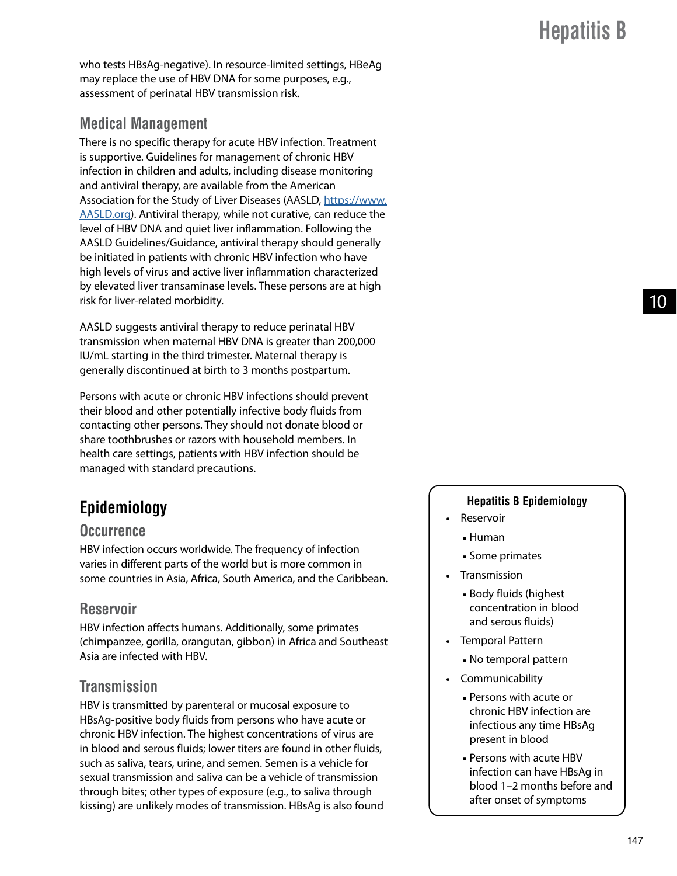$1<sub>0</sub>$ 

who tests HBsAg-negative). In resource-limited settings, HBeAg may replace the use of HBV DNA for some purposes, e.g., assessment of perinatal HBV transmission risk.

### **Medical Management**

There is no specific therapy for acute HBV infection. Treatment is supportive. Guidelines for management of chronic HBV infection in children and adults, including disease monitoring and antiviral therapy, are available from the American Association for the Study of Liver Diseases (AASLD, [https://www.](https://www.AASLD.org) [AASLD.org](https://www.AASLD.org)). Antiviral therapy, while not curative, can reduce the level of HBV DNA and quiet liver inflammation. Following the AASLD Guidelines/Guidance, antiviral therapy should generally be initiated in patients with chronic HBV infection who have high levels of virus and active liver inflammation characterized by elevated liver transaminase levels. These persons are at high risk for liver-related morbidity.

AASLD suggests antiviral therapy to reduce perinatal HBV transmission when maternal HBV DNA is greater than 200,000 IU/mL starting in the third trimester. Maternal therapy is generally discontinued at birth to 3 months postpartum.

Persons with acute or chronic HBV infections should prevent their blood and other potentially infective body fluids from contacting other persons. They should not donate blood or share toothbrushes or razors with household members. In health care settings, patients with HBV infection should be managed with standard precautions.

## **Epidemiology**

#### **Occurrence**

HBV infection occurs worldwide. The frequency of infection varies in different parts of the world but is more common in some countries in Asia, Africa, South America, and the Caribbean.

### **Reservoir**

HBV infection affects humans. Additionally, some primates (chimpanzee, gorilla, orangutan, gibbon) in Africa and Southeast Asia are infected with HBV.

### **Transmission**

HBV is transmitted by parenteral or mucosal exposure to HBsAg-positive body fluids from persons who have acute or chronic HBV infection. The highest concentrations of virus are in blood and serous fluids; lower titers are found in other fluids, such as saliva, tears, urine, and semen. Semen is a vehicle for sexual transmission and saliva can be a vehicle of transmission through bites; other types of exposure (e.g., to saliva through kissing) are unlikely modes of transmission. HBsAg is also found

#### **Hepatitis B Epidemiology**

- Reservoir
	- Human
	- Some primates
- Transmission
	- Body fluids (highest concentration in blood and serous fluids)
- Temporal Pattern
	- No temporal pattern
- Communicability
	- Persons with acute or chronic HBV infection are infectious any time HBsAg present in blood
	- Persons with acute HBV infection can have HBsAg in blood 1–2 months before and after onset of symptoms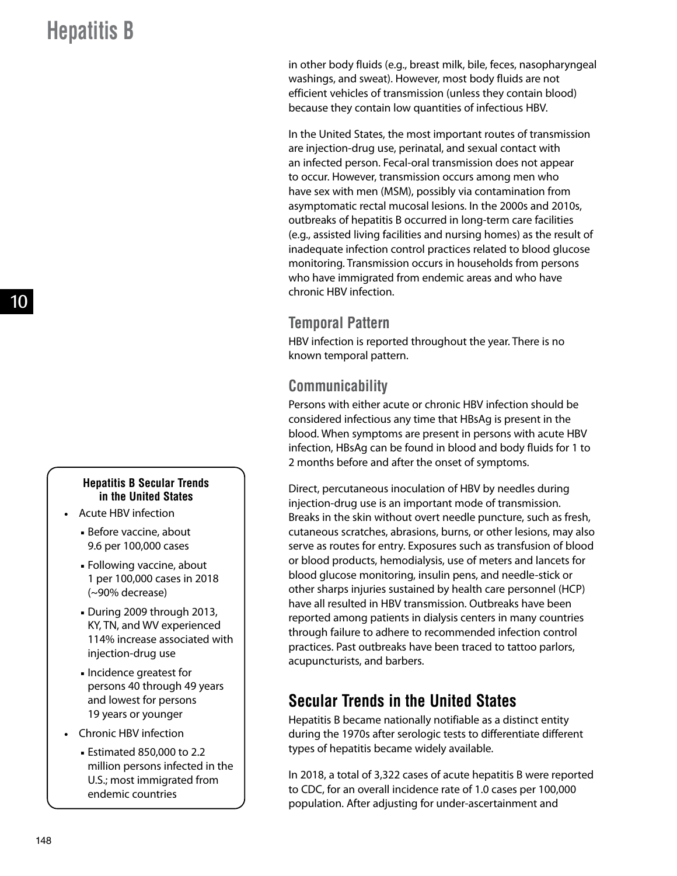#### **Hepatitis B Secular Trends in the United States**

- Acute HBV infection
	- Before vaccine, about 9.6 per 100,000 cases
	- Following vaccine, about 1 per 100,000 cases in 2018 (~90% decrease)
	- During 2009 through 2013, KY, TN, and WV experienced 114% increase associated with injection-drug use
	- Incidence greatest for persons 40 through 49 years and lowest for persons 19 years or younger
- Chronic HBV infection
	- Estimated 850,000 to 2.2 million persons infected in the U.S.; most immigrated from endemic countries

in other body fluids (e.g., breast milk, bile, feces, nasopharyngeal washings, and sweat). However, most body fluids are not efficient vehicles of transmission (unless they contain blood) because they contain low quantities of infectious HBV.

In the United States, the most important routes of transmission are injection-drug use, perinatal, and sexual contact with an infected person. Fecal-oral transmission does not appear to occur. However, transmission occurs among men who have sex with men (MSM), possibly via contamination from asymptomatic rectal mucosal lesions. In the 2000s and 2010s, outbreaks of hepatitis B occurred in long-term care facilities (e.g., assisted living facilities and nursing homes) as the result of inadequate infection control practices related to blood glucose monitoring. Transmission occurs in households from persons who have immigrated from endemic areas and who have chronic HBV infection.

### **Temporal Pattern**

HBV infection is reported throughout the year. There is no known temporal pattern.

### **Communicability**

Persons with either acute or chronic HBV infection should be considered infectious any time that HBsAg is present in the blood. When symptoms are present in persons with acute HBV infection, HBsAg can be found in blood and body fluids for 1 to 2 months before and after the onset of symptoms.

Direct, percutaneous inoculation of HBV by needles during injection-drug use is an important mode of transmission. Breaks in the skin without overt needle puncture, such as fresh, cutaneous scratches, abrasions, burns, or other lesions, may also serve as routes for entry. Exposures such as transfusion of blood or blood products, hemodialysis, use of meters and lancets for blood glucose monitoring, insulin pens, and needle-stick or other sharps injuries sustained by health care personnel (HCP) have all resulted in HBV transmission. Outbreaks have been reported among patients in dialysis centers in many countries through failure to adhere to recommended infection control practices. Past outbreaks have been traced to tattoo parlors, acupuncturists, and barbers.

## **Secular Trends in the United States**

Hepatitis B became nationally notifiable as a distinct entity during the 1970s after serologic tests to differentiate different types of hepatitis became widely available.

In 2018, a total of 3,322 cases of acute hepatitis B were reported to CDC, for an overall incidence rate of 1.0 cases per 100,000 population. After adjusting for under-ascertainment and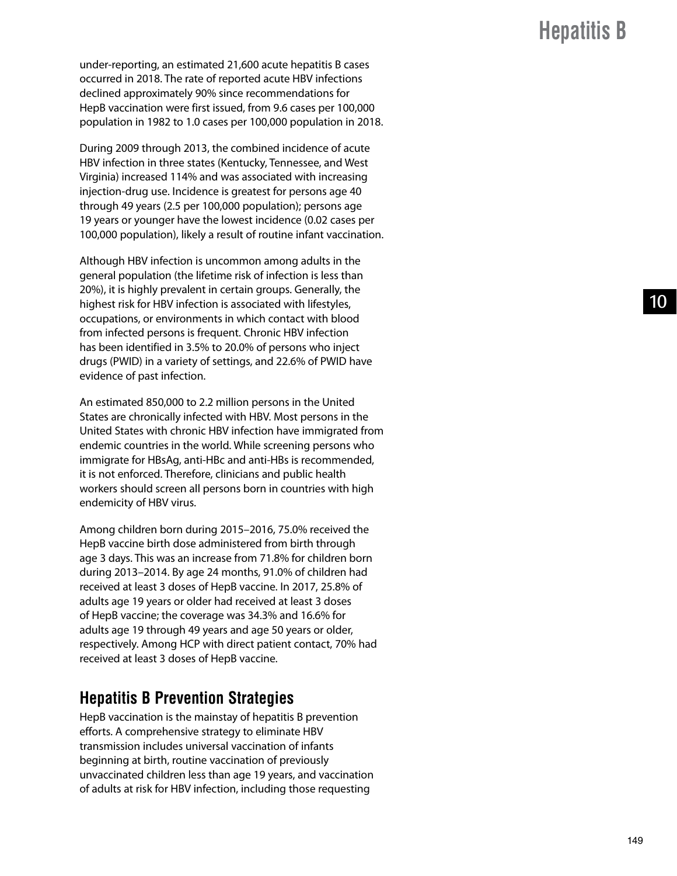under-reporting, an estimated 21,600 acute hepatitis B cases occurred in 2018. The rate of reported acute HBV infections declined approximately 90% since recommendations for HepB vaccination were first issued, from 9.6 cases per 100,000 population in 1982 to 1.0 cases per 100,000 population in 2018.

During 2009 through 2013, the combined incidence of acute HBV infection in three states (Kentucky, Tennessee, and West Virginia) increased 114% and was associated with increasing injection-drug use. Incidence is greatest for persons age 40 through 49 years (2.5 per 100,000 population); persons age 19 years or younger have the lowest incidence (0.02 cases per 100,000 population), likely a result of routine infant vaccination.

Although HBV infection is uncommon among adults in the general population (the lifetime risk of infection is less than 20%), it is highly prevalent in certain groups. Generally, the highest risk for HBV infection is associated with lifestyles, occupations, or environments in which contact with blood from infected persons is frequent. Chronic HBV infection has been identified in 3.5% to 20.0% of persons who inject drugs (PWID) in a variety of settings, and 22.6% of PWID have evidence of past infection.

An estimated 850,000 to 2.2 million persons in the United States are chronically infected with HBV. Most persons in the United States with chronic HBV infection have immigrated from endemic countries in the world. While screening persons who immigrate for HBsAg, anti-HBc and anti-HBs is recommended, it is not enforced. Therefore, clinicians and public health workers should screen all persons born in countries with high endemicity of HBV virus.

Among children born during 2015–2016, 75.0% received the HepB vaccine birth dose administered from birth through age 3 days. This was an increase from 71.8% for children born during 2013–2014. By age 24 months, 91.0% of children had received at least 3 doses of HepB vaccine. In 2017, 25.8% of adults age 19 years or older had received at least 3 doses of HepB vaccine; the coverage was 34.3% and 16.6% for adults age 19 through 49 years and age 50 years or older, respectively. Among HCP with direct patient contact, 70% had received at least 3 doses of HepB vaccine.

### **Hepatitis B Prevention Strategies**

HepB vaccination is the mainstay of hepatitis B prevention efforts. A comprehensive strategy to eliminate HBV transmission includes universal vaccination of infants beginning at birth, routine vaccination of previously unvaccinated children less than age 19 years, and vaccination of adults at risk for HBV infection, including those requesting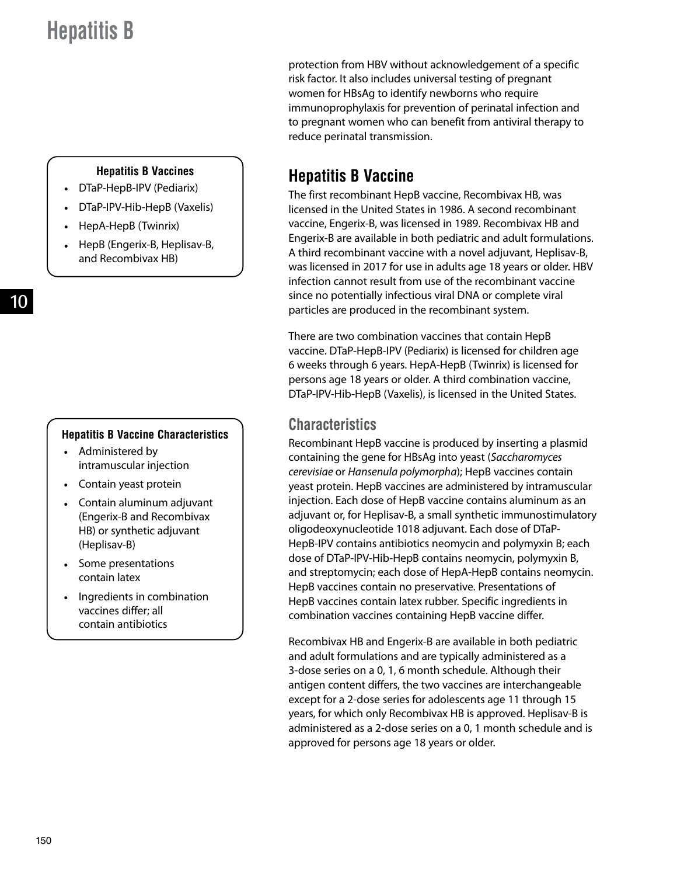protection from HBV without acknowledgement of a specific risk factor. It also includes universal testing of pregnant women for HBsAg to identify newborns who require immunoprophylaxis for prevention of perinatal infection and to pregnant women who can benefit from antiviral therapy to reduce perinatal transmission.

#### **Hepatitis B Vaccines**

- DTaP-HepB-IPV (Pediarix)
- DTaP-IPV-Hib-HepB (Vaxelis)
- HepA-HepB (Twinrix)
- HepB (Engerix-B, Heplisav-B, and Recombivax HB)

#### **Hepatitis B Vaccine Characteristics**

- Administered by intramuscular injection
- Contain yeast protein
- Contain aluminum adjuvant (Engerix-B and Recombivax HB) or synthetic adjuvant (Heplisav-B)
- Some presentations contain latex
- Ingredients in combination vaccines differ; all contain antibiotics

## **Hepatitis B Vaccine**

The first recombinant HepB vaccine, Recombivax HB, was licensed in the United States in 1986. A second recombinant vaccine, Engerix-B, was licensed in 1989. Recombivax HB and Engerix-B are available in both pediatric and adult formulations. A third recombinant vaccine with a novel adjuvant, Heplisav-B, was licensed in 2017 for use in adults age 18 years or older. HBV infection cannot result from use of the recombinant vaccine since no potentially infectious viral DNA or complete viral particles are produced in the recombinant system.

There are two combination vaccines that contain HepB vaccine. DTaP-HepB-IPV (Pediarix) is licensed for children age 6 weeks through 6 years. HepA-HepB (Twinrix) is licensed for persons age 18 years or older. A third combination vaccine, DTaP-IPV-Hib-HepB (Vaxelis), is licensed in the United States.

### **Characteristics**

Recombinant HepB vaccine is produced by inserting a plasmid containing the gene for HBsAg into yeast (*Saccharomyces cerevisiae* or *Hansenula polymorpha*); HepB vaccines contain yeast protein. HepB vaccines are administered by intramuscular injection. Each dose of HepB vaccine contains aluminum as an adjuvant or, for Heplisav-B, a small synthetic immunostimulatory oligodeoxynucleotide 1018 adjuvant. Each dose of DTaP-HepB-IPV contains antibiotics neomycin and polymyxin B; each dose of DTaP-IPV-Hib-HepB contains neomycin, polymyxin B, and streptomycin; each dose of HepA-HepB contains neomycin. HepB vaccines contain no preservative. Presentations of HepB vaccines contain latex rubber. Specific ingredients in combination vaccines containing HepB vaccine differ.

Recombivax HB and Engerix-B are available in both pediatric and adult formulations and are typically administered as a 3-dose series on a 0, 1, 6 month schedule. Although their antigen content differs, the two vaccines are interchangeable except for a 2-dose series for adolescents age 11 through 15 years, for which only Recombivax HB is approved. Heplisav-B is administered as a 2-dose series on a 0, 1 month schedule and is approved for persons age 18 years or older.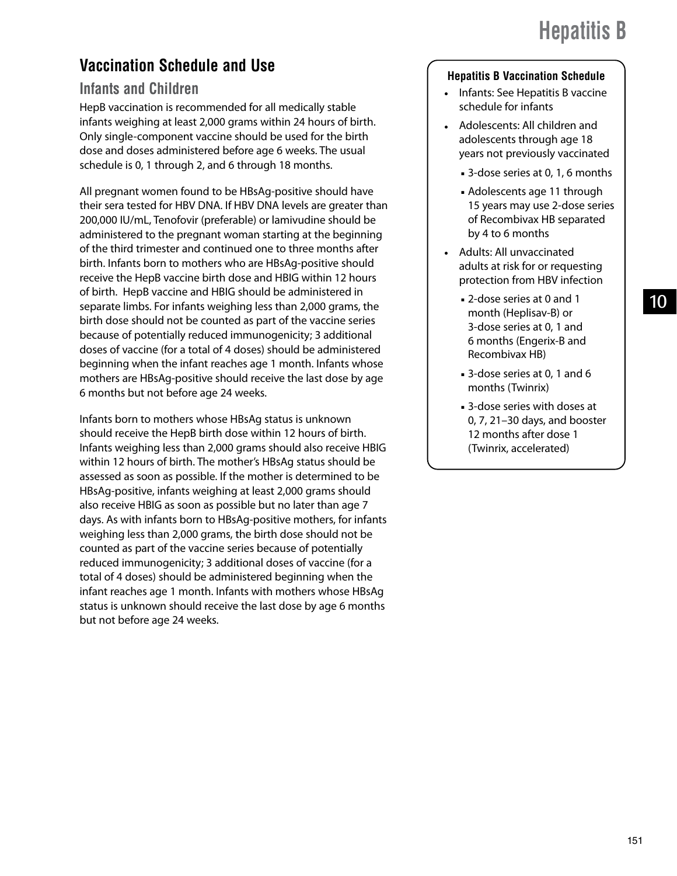## **Vaccination Schedule and Use**

### **Infants and Children**

HepB vaccination is recommended for all medically stable infants weighing at least 2,000 grams within 24 hours of birth. Only single-component vaccine should be used for the birth dose and doses administered before age 6 weeks. The usual schedule is 0, 1 through 2, and 6 through 18 months.

All pregnant women found to be HBsAg-positive should have their sera tested for HBV DNA. If HBV DNA levels are greater than 200,000 IU/mL, Tenofovir (preferable) or lamivudine should be administered to the pregnant woman starting at the beginning of the third trimester and continued one to three months after birth. Infants born to mothers who are HBsAg-positive should receive the HepB vaccine birth dose and HBIG within 12 hours of birth. HepB vaccine and HBIG should be administered in separate limbs. For infants weighing less than 2,000 grams, the birth dose should not be counted as part of the vaccine series because of potentially reduced immunogenicity; 3 additional doses of vaccine (for a total of 4 doses) should be administered beginning when the infant reaches age 1 month. Infants whose mothers are HBsAg-positive should receive the last dose by age 6 months but not before age 24 weeks.

Infants born to mothers whose HBsAg status is unknown should receive the HepB birth dose within 12 hours of birth. Infants weighing less than 2,000 grams should also receive HBIG within 12 hours of birth. The mother's HBsAg status should be assessed as soon as possible. If the mother is determined to be HBsAg-positive, infants weighing at least 2,000 grams should also receive HBIG as soon as possible but no later than age 7 days. As with infants born to HBsAg-positive mothers, for infants weighing less than 2,000 grams, the birth dose should not be counted as part of the vaccine series because of potentially reduced immunogenicity; 3 additional doses of vaccine (for a total of 4 doses) should be administered beginning when the infant reaches age 1 month. Infants with mothers whose HBsAg status is unknown should receive the last dose by age 6 months but not before age 24 weeks.

#### **Hepatitis B Vaccination Schedule**

- Infants: See Hepatitis B vaccine schedule for infants
- Adolescents: All children and adolescents through age 18 years not previously vaccinated
	- 3-dose series at 0, 1, 6 months
	- Adolescents age 11 through 15 years may use 2-dose series of Recombivax HB separated by 4 to 6 months
- Adults: All unvaccinated adults at risk for or requesting protection from HBV infection
	- 2-dose series at 0 and 1 month (Heplisav-B) or 3-dose series at 0, 1 and 6 months (Engerix-B and Recombivax HB)
	- 3-dose series at 0, 1 and 6 months (Twinrix)
	- 3-dose series with doses at 0, 7, 21–30 days, and booster 12 months after dose 1 (Twinrix, accelerated)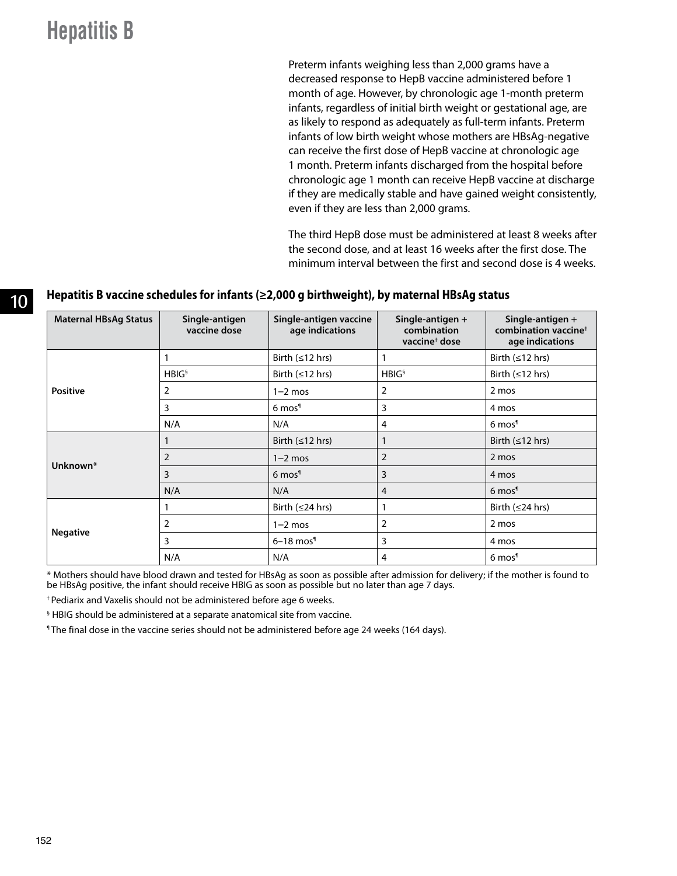Preterm infants weighing less than 2,000 grams have a decreased response to HepB vaccine administered before 1 month of age. However, by chronologic age 1-month preterm infants, regardless of initial birth weight or gestational age, are as likely to respond as adequately as full-term infants. Preterm infants of low birth weight whose mothers are HBsAg-negative can receive the first dose of HepB vaccine at chronologic age 1 month. Preterm infants discharged from the hospital before chronologic age 1 month can receive HepB vaccine at discharge if they are medically stable and have gained weight consistently, even if they are less than 2,000 grams.

The third HepB dose must be administered at least 8 weeks after the second dose, and at least 16 weeks after the first dose. The minimum interval between the first and second dose is 4 weeks.

#### 10 **Hepatitis B vaccine schedules for infants (≥2,000 g birthweight), by maternal HBsAg status**

| <b>Maternal HBsAg Status</b> | Single-antigen<br>vaccine dose | Single-antigen vaccine<br>age indications | Single-antigen +<br>combination<br>vaccine <sup>+</sup> dose | Single-antigen +<br>combination vaccine <sup>+</sup><br>age indications |
|------------------------------|--------------------------------|-------------------------------------------|--------------------------------------------------------------|-------------------------------------------------------------------------|
|                              |                                | Birth $(\leq 12$ hrs)                     | 1                                                            | Birth $(\leq 12$ hrs)                                                   |
|                              | HBIG <sup>§</sup>              | Birth $(\leq 12$ hrs)                     | HBIG <sup>§</sup>                                            | Birth $(\leq 12$ hrs)                                                   |
| <b>Positive</b>              | 2                              | $1-2$ mos                                 | 2                                                            | 2 mos                                                                   |
|                              | 3                              | 6 mos <sup>1</sup>                        | 3                                                            | 4 mos                                                                   |
|                              | N/A                            | N/A                                       | 4                                                            | 6 mos <sup>1</sup>                                                      |
|                              |                                | Birth $(\leq 12$ hrs)                     | $\mathbf{1}$                                                 | Birth $(\leq 12$ hrs)                                                   |
| Unknown*                     | $\overline{2}$                 | $1-2$ mos                                 | $\overline{2}$                                               | 2 mos                                                                   |
|                              | 3<br>3<br>6 mos <sup>1</sup>   |                                           | 4 mos                                                        |                                                                         |
|                              | N/A                            | N/A                                       | $\overline{4}$                                               | 6 mos <sup>1</sup>                                                      |
|                              |                                | Birth $(\leq 24$ hrs)                     | $\mathbf{1}$                                                 | Birth $(\leq 24$ hrs)                                                   |
|                              | 2                              | $1-2$ mos                                 | 2                                                            | 2 mos                                                                   |
| <b>Negative</b>              | 3                              | $6-18$ mos <sup>1</sup>                   | 3                                                            | 4 mos                                                                   |
|                              | N/A                            | N/A                                       | 4                                                            | 6 mos <sup>1</sup>                                                      |

\* Mothers should have blood drawn and tested for HBsAg as soon as possible after admission for delivery; if the mother is found to be HBsAg positive, the infant should receive HBIG as soon as possible but no later than age 7 days.

† Pediarix and Vaxelis should not be administered before age 6 weeks.

§ HBIG should be administered at a separate anatomical site from vaccine.

¶ The final dose in the vaccine series should not be administered before age 24 weeks (164 days).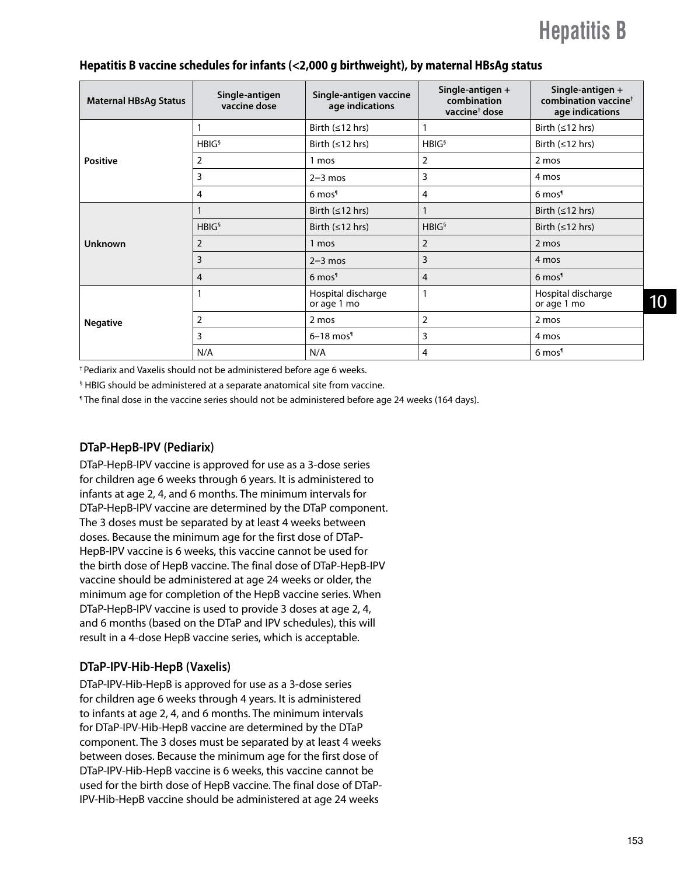| <b>Maternal HBsAg Status</b> | Single-antigen<br>vaccine dose | Single-antigen vaccine<br>age indications | Single-antigen +<br>combination<br>vaccine <sup>†</sup> dose | Single-antigen +<br>combination vaccine <sup>+</sup><br>age indications |
|------------------------------|--------------------------------|-------------------------------------------|--------------------------------------------------------------|-------------------------------------------------------------------------|
|                              |                                | Birth $(\leq 12$ hrs)                     |                                                              | Birth $(\leq 12$ hrs)                                                   |
|                              | HBIG <sup>§</sup>              | Birth $(\leq 12$ hrs)                     | HBIG <sup>§</sup>                                            | Birth $(\leq 12$ hrs)                                                   |
| <b>Positive</b>              | 2                              | 1 mos                                     | $\overline{2}$                                               | 2 mos                                                                   |
|                              | 3                              | $2-3$ mos                                 | 3                                                            | 4 mos                                                                   |
|                              | 4                              | 6 mos <sup>1</sup>                        | 4                                                            | 6 mos <sup>1</sup>                                                      |
|                              |                                | Birth $(\leq 12$ hrs)                     |                                                              | Birth $(\leq 12$ hrs)                                                   |
|                              | HBIG <sup>§</sup>              | Birth $(\leq 12$ hrs)                     | HBIG <sup>§</sup>                                            | Birth $(\leq 12$ hrs)                                                   |
| <b>Unknown</b>               | 2                              | 1 mos                                     | $\overline{2}$                                               | 2 mos                                                                   |
|                              | 3                              | $2-3$ mos                                 | 3                                                            | 4 mos                                                                   |
|                              | 4                              | 6 mos <sup>1</sup>                        | 4                                                            | 6 mos <sup>1</sup>                                                      |
| <b>Negative</b>              |                                | Hospital discharge<br>or age 1 mo         |                                                              | Hospital discharge<br>or age 1 mo                                       |
|                              | $\overline{2}$                 | 2 mos                                     | $\overline{2}$                                               | 2 mos                                                                   |
|                              | 3                              | $6-18$ mos <sup>1</sup>                   | 3                                                            | 4 mos                                                                   |
|                              | N/A                            | N/A                                       | $\overline{4}$                                               | 6 mos <sup>1</sup>                                                      |

#### **Hepatitis B vaccine schedules for infants (<2,000 g birthweight), by maternal HBsAg status**

† Pediarix and Vaxelis should not be administered before age 6 weeks.

§ HBIG should be administered at a separate anatomical site from vaccine.

¶ The final dose in the vaccine series should not be administered before age 24 weeks (164 days).

#### **DTaP-HepB-IPV (Pediarix)**

DTaP-HepB-IPV vaccine is approved for use as a 3-dose series for children age 6 weeks through 6 years. It is administered to infants at age 2, 4, and 6 months. The minimum intervals for DTaP-HepB-IPV vaccine are determined by the DTaP component. The 3 doses must be separated by at least 4 weeks between doses. Because the minimum age for the first dose of DTaP-HepB-IPV vaccine is 6 weeks, this vaccine cannot be used for the birth dose of HepB vaccine. The final dose of DTaP-HepB-IPV vaccine should be administered at age 24 weeks or older, the minimum age for completion of the HepB vaccine series. When DTaP-HepB-IPV vaccine is used to provide 3 doses at age 2, 4, and 6 months (based on the DTaP and IPV schedules), this will result in a 4-dose HepB vaccine series, which is acceptable.

#### **DTaP-IPV-Hib-HepB (Vaxelis)**

DTaP-IPV-Hib-HepB is approved for use as a 3-dose series for children age 6 weeks through 4 years. It is administered to infants at age 2, 4, and 6 months. The minimum intervals for DTaP-IPV-Hib-HepB vaccine are determined by the DTaP component. The 3 doses must be separated by at least 4 weeks between doses. Because the minimum age for the first dose of DTaP-IPV-Hib-HepB vaccine is 6 weeks, this vaccine cannot be used for the birth dose of HepB vaccine. The final dose of DTaP-IPV-Hib-HepB vaccine should be administered at age 24 weeks

10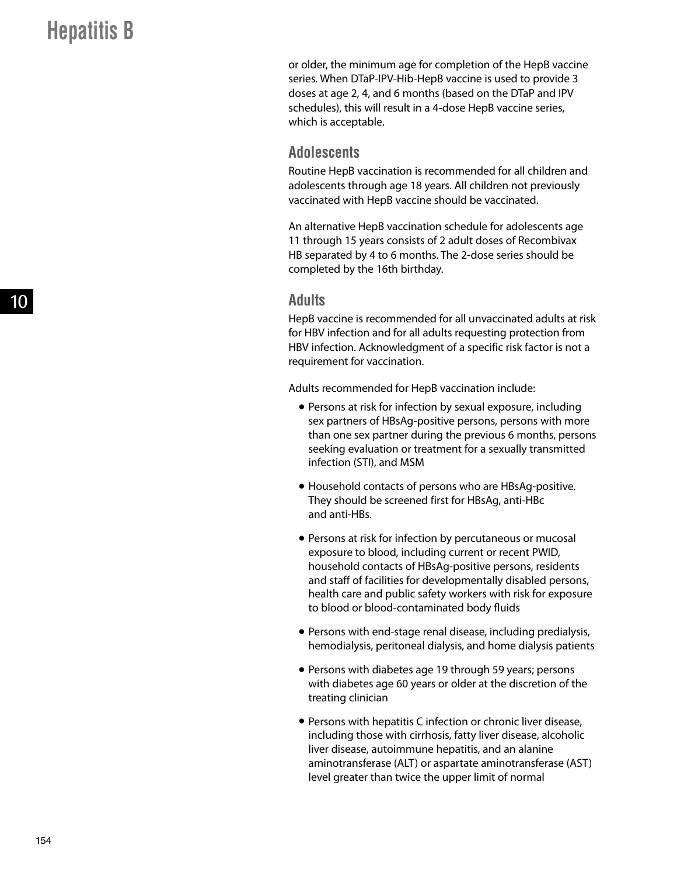or older, the minimum age for completion of the HepB vaccine series. When DTaP-IPV-Hib-HepB vaccine is used to provide 3 doses at age 2, 4, and 6 months (based on the DTaP and IPV schedules), this will result in a 4-dose HepB vaccine series, which is acceptable.

#### **Adolescents**

Routine HepB vaccination is recommended for all children and adolescents through age 18 years. All children not previously vaccinated with HepB vaccine should be vaccinated.

An alternative HepB vaccination schedule for adolescents age 11 through 15 years consists of 2 adult doses of Recombivax HB separated by 4 to 6 months. The 2-dose series should be completed by the 16th birthday.

#### **Adults**

HepB vaccine is recommended for all unvaccinated adults at risk for HBV infection and for all adults requesting protection from HBV infection. Acknowledgment of a specific risk factor is not a requirement for vaccination.

Adults recommended for HepB vaccination include:

- Persons at risk for infection by sexual exposure, including sex partners of HBsAg-positive persons, persons with more than one sex partner during the previous 6 months, persons seeking evaluation or treatment for a sexually transmitted infection (STI), and MSM
- Household contacts of persons who are HBsAg-positive. They should be screened first for HBsAg, anti-HBc and anti-HBs.
- Persons at risk for infection by percutaneous or mucosal exposure to blood, including current or recent PWID, household contacts of HBsAg-positive persons, residents and staff of facilities for developmentally disabled persons, health care and public safety workers with risk for exposure to blood or blood-contaminated body fluids
- Persons with end-stage renal disease, including predialysis, hemodialysis, peritoneal dialysis, and home dialysis patients
- Persons with diabetes age 19 through 59 years; persons with diabetes age 60 years or older at the discretion of the treating clinician
- Persons with hepatitis C infection or chronic liver disease, including those with cirrhosis, fatty liver disease, alcoholic liver disease, autoimmune hepatitis, and an alanine aminotransferase (ALT) or aspartate aminotransferase (AST) level greater than twice the upper limit of normal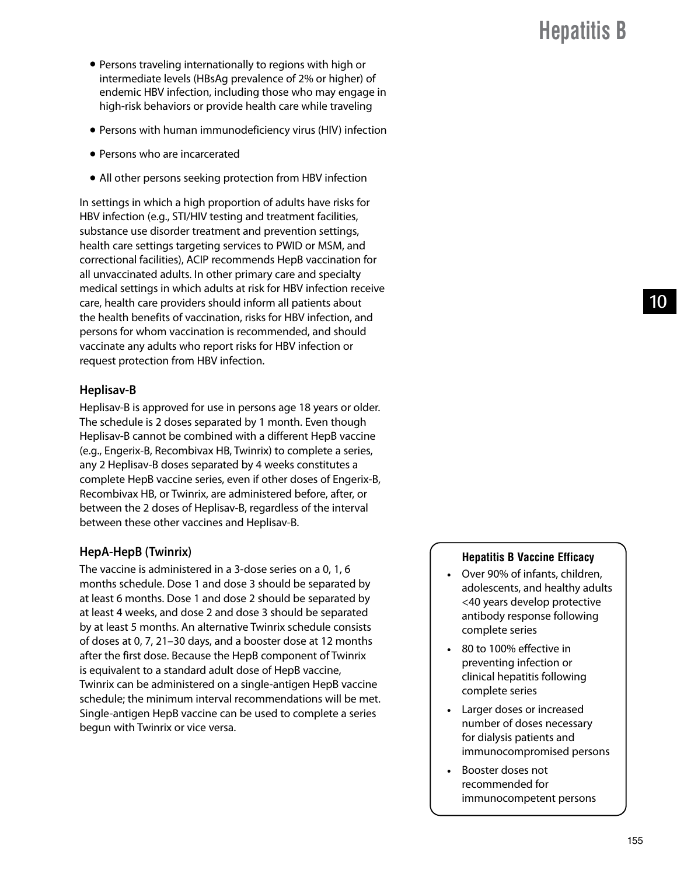- Persons traveling internationally to regions with high or intermediate levels (HBsAg prevalence of 2% or higher) of endemic HBV infection, including those who may engage in high-risk behaviors or provide health care while traveling
- Persons with human immunodeficiency virus (HIV) infection
- Persons who are incarcerated
- All other persons seeking protection from HBV infection

In settings in which a high proportion of adults have risks for HBV infection (e.g., STI/HIV testing and treatment facilities, substance use disorder treatment and prevention settings, health care settings targeting services to PWID or MSM, and correctional facilities), ACIP recommends HepB vaccination for all unvaccinated adults. In other primary care and specialty medical settings in which adults at risk for HBV infection receive care, health care providers should inform all patients about the health benefits of vaccination, risks for HBV infection, and persons for whom vaccination is recommended, and should vaccinate any adults who report risks for HBV infection or request protection from HBV infection.

#### **Heplisav-B**

Heplisav-B is approved for use in persons age 18 years or older. The schedule is 2 doses separated by 1 month. Even though Heplisav-B cannot be combined with a different HepB vaccine (e.g., Engerix-B, Recombivax HB, Twinrix) to complete a series, any 2 Heplisav-B doses separated by 4 weeks constitutes a complete HepB vaccine series, even if other doses of Engerix-B, Recombivax HB, or Twinrix, are administered before, after, or between the 2 doses of Heplisav-B, regardless of the interval between these other vaccines and Heplisav-B.

#### **HepA-HepB (Twinrix)**

The vaccine is administered in a 3-dose series on a 0, 1, 6 months schedule. Dose 1 and dose 3 should be separated by at least 6 months. Dose 1 and dose 2 should be separated by at least 4 weeks, and dose 2 and dose 3 should be separated by at least 5 months. An alternative Twinrix schedule consists of doses at 0, 7, 21–30 days, and a booster dose at 12 months after the first dose. Because the HepB component of Twinrix is equivalent to a standard adult dose of HepB vaccine, Twinrix can be administered on a single-antigen HepB vaccine schedule; the minimum interval recommendations will be met. Single-antigen HepB vaccine can be used to complete a series begun with Twinrix or vice versa.

#### **Hepatitis B Vaccine Efficacy**

- Over 90% of infants, children, adolescents, and healthy adults <40 years develop protective antibody response following complete series
- 80 to 100% effective in preventing infection or clinical hepatitis following complete series
- Larger doses or increased number of doses necessary for dialysis patients and immunocompromised persons
- Booster doses not recommended for immunocompetent persons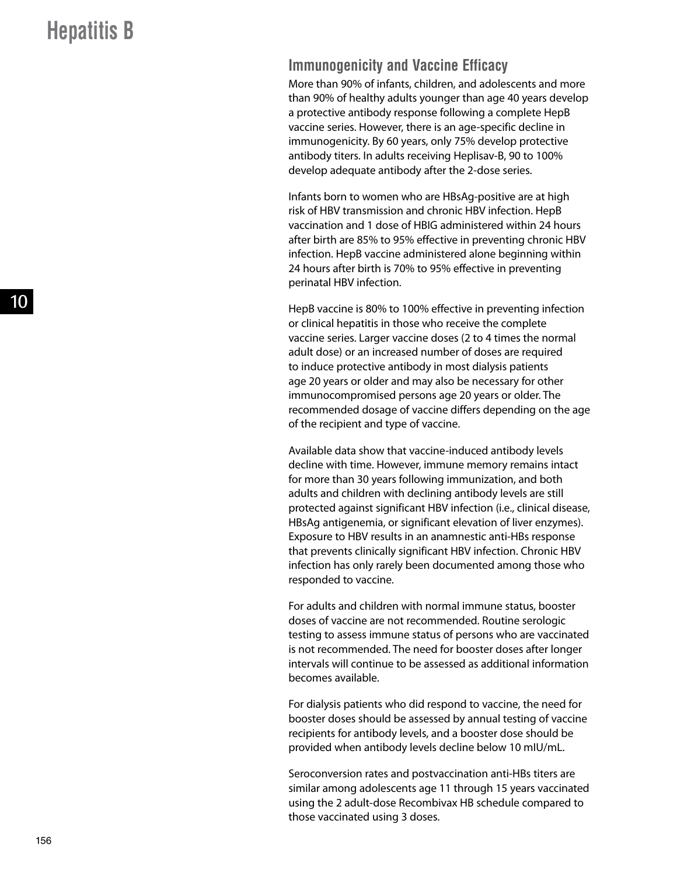### **Immunogenicity and Vaccine Efficacy**

More than 90% of infants, children, and adolescents and more than 90% of healthy adults younger than age 40 years develop a protective antibody response following a complete HepB vaccine series. However, there is an age-specific decline in immunogenicity. By 60 years, only 75% develop protective antibody titers. In adults receiving Heplisav-B, 90 to 100% develop adequate antibody after the 2-dose series.

Infants born to women who are HBsAg-positive are at high risk of HBV transmission and chronic HBV infection. HepB vaccination and 1 dose of HBIG administered within 24 hours after birth are 85% to 95% effective in preventing chronic HBV infection. HepB vaccine administered alone beginning within 24 hours after birth is 70% to 95% effective in preventing perinatal HBV infection.

HepB vaccine is 80% to 100% effective in preventing infection or clinical hepatitis in those who receive the complete vaccine series. Larger vaccine doses (2 to 4 times the normal adult dose) or an increased number of doses are required to induce protective antibody in most dialysis patients age 20 years or older and may also be necessary for other immunocompromised persons age 20 years or older. The recommended dosage of vaccine differs depending on the age of the recipient and type of vaccine.

Available data show that vaccine-induced antibody levels decline with time. However, immune memory remains intact for more than 30 years following immunization, and both adults and children with declining antibody levels are still protected against significant HBV infection (i.e., clinical disease, HBsAg antigenemia, or significant elevation of liver enzymes). Exposure to HBV results in an anamnestic anti-HBs response that prevents clinically significant HBV infection. Chronic HBV infection has only rarely been documented among those who responded to vaccine.

For adults and children with normal immune status, booster doses of vaccine are not recommended. Routine serologic testing to assess immune status of persons who are vaccinated is not recommended. The need for booster doses after longer intervals will continue to be assessed as additional information becomes available.

For dialysis patients who did respond to vaccine, the need for booster doses should be assessed by annual testing of vaccine recipients for antibody levels, and a booster dose should be provided when antibody levels decline below 10 mIU/mL.

Seroconversion rates and postvaccination anti-HBs titers are similar among adolescents age 11 through 15 years vaccinated using the 2 adult-dose Recombivax HB schedule compared to those vaccinated using 3 doses.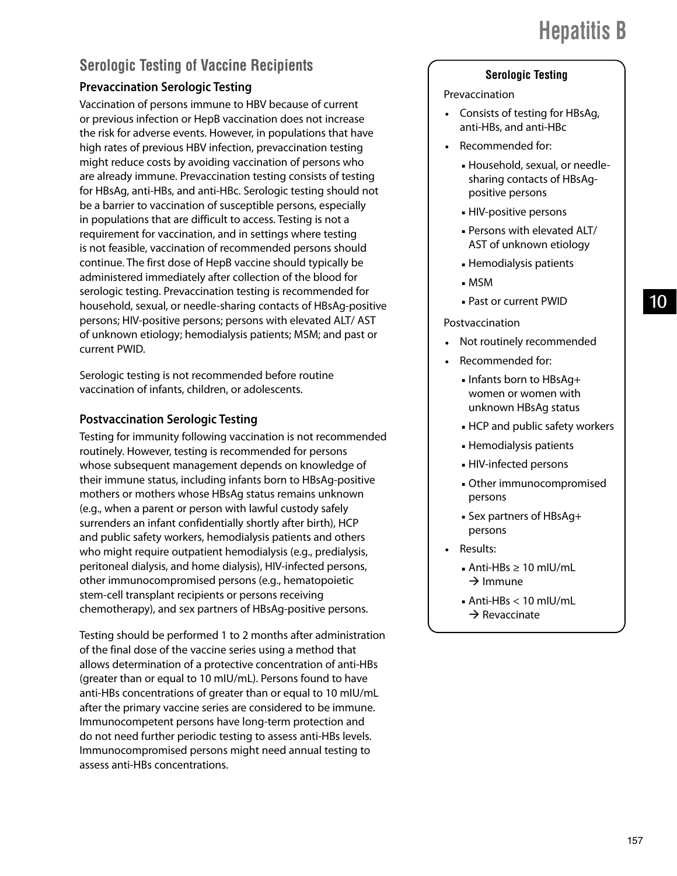## **Serologic Testing of Vaccine Recipients**

#### **Prevaccination Serologic Testing**

Vaccination of persons immune to HBV because of current or previous infection or HepB vaccination does not increase the risk for adverse events. However, in populations that have high rates of previous HBV infection, prevaccination testing might reduce costs by avoiding vaccination of persons who are already immune. Prevaccination testing consists of testing for HBsAg, anti-HBs, and anti-HBc. Serologic testing should not be a barrier to vaccination of susceptible persons, especially in populations that are difficult to access. Testing is not a requirement for vaccination, and in settings where testing is not feasible, vaccination of recommended persons should continue. The first dose of HepB vaccine should typically be administered immediately after collection of the blood for serologic testing. Prevaccination testing is recommended for household, sexual, or needle-sharing contacts of HBsAg-positive persons; HIV-positive persons; persons with elevated ALT/ AST of unknown etiology; hemodialysis patients; MSM; and past or current PWID.

Serologic testing is not recommended before routine vaccination of infants, children, or adolescents.

#### **Postvaccination Serologic Testing**

Testing for immunity following vaccination is not recommended routinely. However, testing is recommended for persons whose subsequent management depends on knowledge of their immune status, including infants born to HBsAg-positive mothers or mothers whose HBsAg status remains unknown (e.g., when a parent or person with lawful custody safely surrenders an infant confidentially shortly after birth), HCP and public safety workers, hemodialysis patients and others who might require outpatient hemodialysis (e.g., predialysis, peritoneal dialysis, and home dialysis), HIV-infected persons, other immunocompromised persons (e.g., hematopoietic stem-cell transplant recipients or persons receiving chemotherapy), and sex partners of HBsAg-positive persons.

Testing should be performed 1 to 2 months after administration of the final dose of the vaccine series using a method that allows determination of a protective concentration of anti-HBs (greater than or equal to 10 mIU/mL). Persons found to have anti-HBs concentrations of greater than or equal to 10 mIU/mL after the primary vaccine series are considered to be immune. Immunocompetent persons have long-term protection and do not need further periodic testing to assess anti-HBs levels. Immunocompromised persons might need annual testing to assess anti-HBs concentrations.

#### **Serologic Testing**

#### Prevaccination

- Consists of testing for HBsAg, anti-HBs, and anti-HBc
- Recommended for:
	- Household, sexual, or needlesharing contacts of HBsAgpositive persons
	- HIV-positive persons
	- Persons with elevated ALT/ AST of unknown etiology
	- Hemodialysis patients
	- MSM
	- Past or current PWID

#### Postvaccination

- Not routinely recommended
- Recommended for:
	- Infants born to HBsAg+ women or women with unknown HBsAg status
	- HCP and public safety workers
	- Hemodialysis patients
	- HIV-infected persons
	- Other immunocompromised persons
	- Sex partners of HBsAg+ persons
- Results:
	- Anti-HBs ≥ 10 mlU/mL  $\rightarrow$ Immune
	- $\blacksquare$  Anti-HBs < 10 mIU/mL  $\rightarrow$  Revaccinate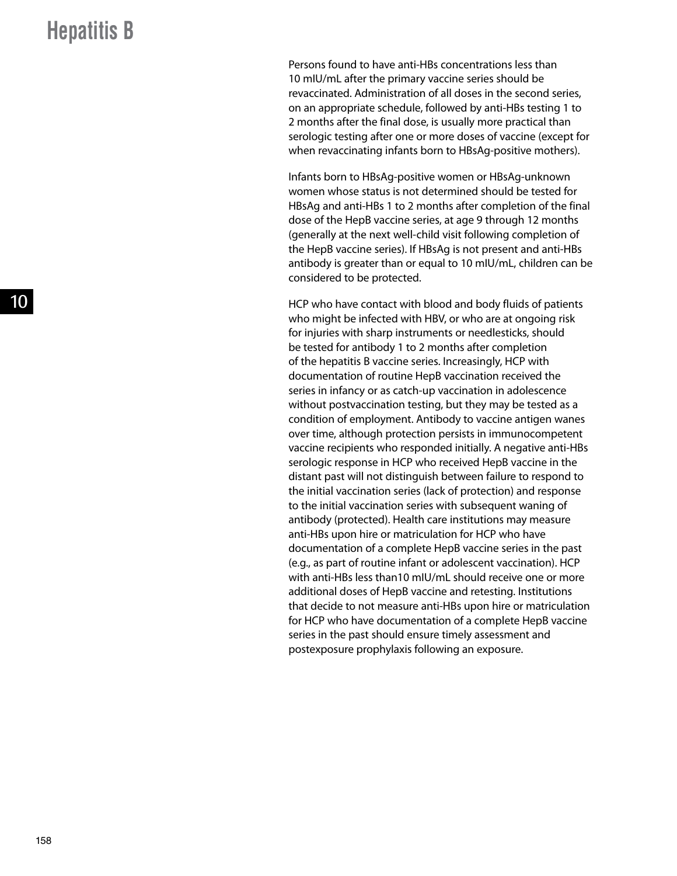Persons found to have anti-HBs concentrations less than 10 mIU/mL after the primary vaccine series should be revaccinated. Administration of all doses in the second series, on an appropriate schedule, followed by anti-HBs testing 1 to 2 months after the final dose, is usually more practical than serologic testing after one or more doses of vaccine (except for when revaccinating infants born to HBsAg-positive mothers).

Infants born to HBsAg-positive women or HBsAg-unknown women whose status is not determined should be tested for HBsAg and anti-HBs 1 to 2 months after completion of the final dose of the HepB vaccine series, at age 9 through 12 months (generally at the next well-child visit following completion of the HepB vaccine series). If HBsAg is not present and anti-HBs antibody is greater than or equal to 10 mIU/mL, children can be considered to be protected.

HCP who have contact with blood and body fluids of patients who might be infected with HBV, or who are at ongoing risk for injuries with sharp instruments or needlesticks, should be tested for antibody 1 to 2 months after completion of the hepatitis B vaccine series. Increasingly, HCP with documentation of routine HepB vaccination received the series in infancy or as catch-up vaccination in adolescence without postvaccination testing, but they may be tested as a condition of employment. Antibody to vaccine antigen wanes over time, although protection persists in immunocompetent vaccine recipients who responded initially. A negative anti-HBs serologic response in HCP who received HepB vaccine in the distant past will not distinguish between failure to respond to the initial vaccination series (lack of protection) and response to the initial vaccination series with subsequent waning of antibody (protected). Health care institutions may measure anti-HBs upon hire or matriculation for HCP who have documentation of a complete HepB vaccine series in the past (e.g., as part of routine infant or adolescent vaccination). HCP with anti-HBs less than10 mIU/mL should receive one or more additional doses of HepB vaccine and retesting. Institutions that decide to not measure anti-HBs upon hire or matriculation for HCP who have documentation of a complete HepB vaccine series in the past should ensure timely assessment and postexposure prophylaxis following an exposure.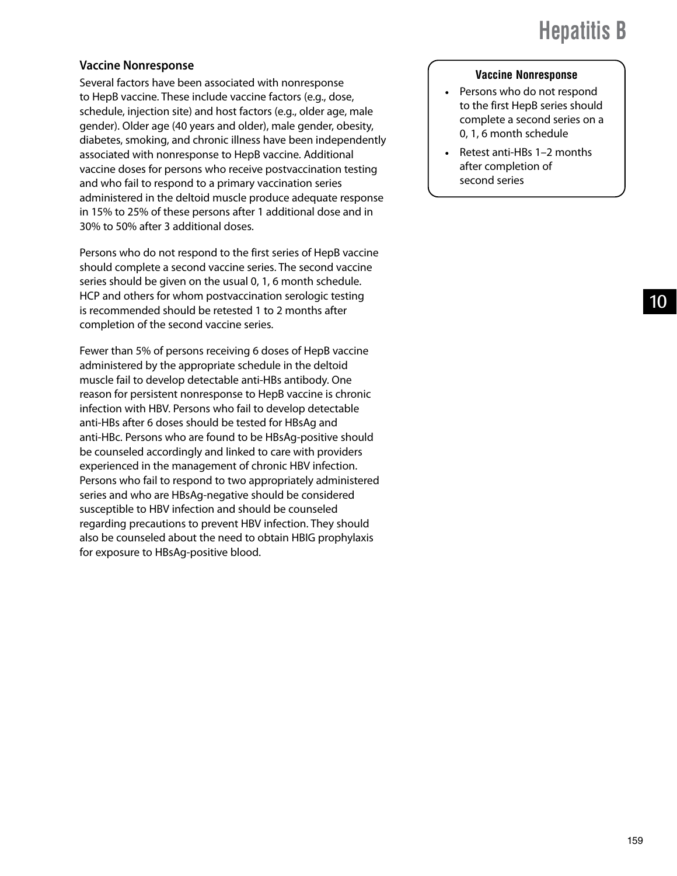#### **Vaccine Nonresponse**

Several factors have been associated with nonresponse to HepB vaccine. These include vaccine factors (e.g., dose, schedule, injection site) and host factors (e.g., older age, male gender). Older age (40 years and older), male gender, obesity, diabetes, smoking, and chronic illness have been independently associated with nonresponse to HepB vaccine. Additional vaccine doses for persons who receive postvaccination testing and who fail to respond to a primary vaccination series administered in the deltoid muscle produce adequate response in 15% to 25% of these persons after 1 additional dose and in 30% to 50% after 3 additional doses.

Persons who do not respond to the first series of HepB vaccine should complete a second vaccine series. The second vaccine series should be given on the usual 0, 1, 6 month schedule. HCP and others for whom postvaccination serologic testing is recommended should be retested 1 to 2 months after completion of the second vaccine series.

Fewer than 5% of persons receiving 6 doses of HepB vaccine administered by the appropriate schedule in the deltoid muscle fail to develop detectable anti-HBs antibody. One reason for persistent nonresponse to HepB vaccine is chronic infection with HBV. Persons who fail to develop detectable anti-HBs after 6 doses should be tested for HBsAg and anti-HBc. Persons who are found to be HBsAg-positive should be counseled accordingly and linked to care with providers experienced in the management of chronic HBV infection. Persons who fail to respond to two appropriately administered series and who are HBsAg-negative should be considered susceptible to HBV infection and should be counseled regarding precautions to prevent HBV infection. They should also be counseled about the need to obtain HBIG prophylaxis for exposure to HBsAg-positive blood.

#### **Vaccine Nonresponse**

- Persons who do not respond to the first HepB series should complete a second series on a 0, 1, 6 month schedule
- Retest anti-HBs 1-2 months after completion of second series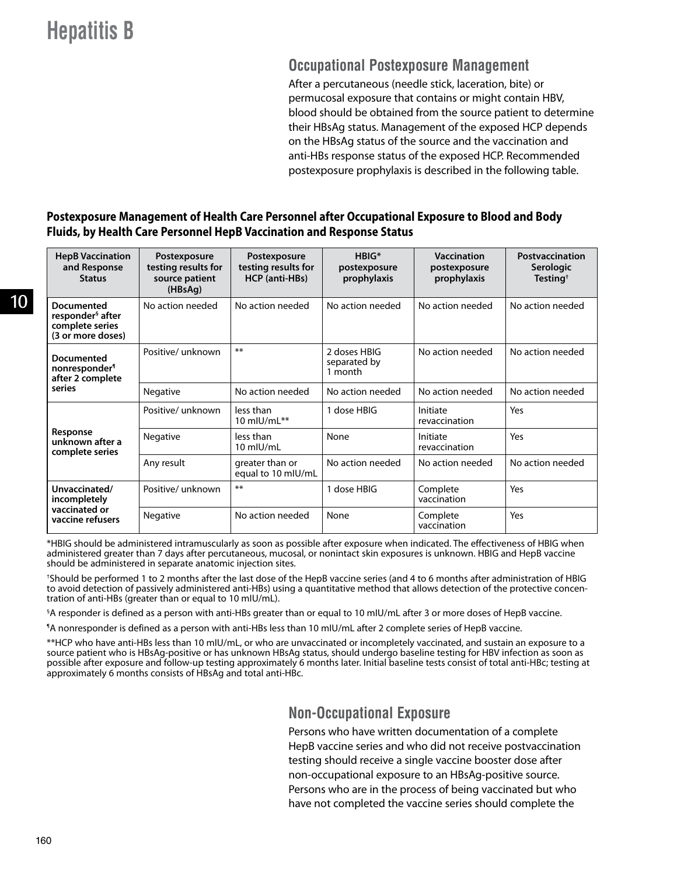### **Occupational Postexposure Management**

After a percutaneous (needle stick, laceration, bite) or permucosal exposure that contains or might contain HBV, blood should be obtained from the source patient to determine their HBsAg status. Management of the exposed HCP depends on the HBsAg status of the source and the vaccination and anti-HBs response status of the exposed HCP. Recommended postexposure prophylaxis is described in the following table.

#### **Postexposure Management of Health Care Personnel after Occupational Exposure to Blood and Body Fluids, by Health Care Personnel HepB Vaccination and Response Status**

| <b>HepB Vaccination</b><br>and Response<br><b>Status</b>                           | Postexposure<br>testing results for<br>source patient<br>(HBsAg) | Postexposure<br>testing results for<br>HCP (anti-HBs) | HRIG*<br>postexposure<br>prophylaxis    | Vaccination<br>postexposure<br>prophylaxis | Postvaccination<br><b>Serologic</b><br>Testing <sup><math>\dagger</math></sup> |
|------------------------------------------------------------------------------------|------------------------------------------------------------------|-------------------------------------------------------|-----------------------------------------|--------------------------------------------|--------------------------------------------------------------------------------|
| Documented<br>responder <sup>§</sup> after<br>complete series<br>(3 or more doses) | No action needed                                                 | No action needed                                      | No action needed                        | No action needed                           | No action needed                                                               |
| Documented<br>nonresponder <sup>1</sup><br>after 2 complete                        | Positive/unknown                                                 | $***$                                                 | 2 doses HBIG<br>separated by<br>1 month | No action needed                           | No action needed                                                               |
| series                                                                             | Negative                                                         | No action needed                                      | No action needed                        | No action needed                           | No action needed                                                               |
|                                                                                    | Positive/unknown                                                 | less than<br>10 mlU/mL $**$                           | 1 dose HBIG                             | Initiate<br>revaccination                  | Yes                                                                            |
| Response<br>unknown after a<br>complete series                                     | Negative                                                         | less than<br>10 mIU/mL                                | None                                    | Initiate<br>revaccination                  | Yes                                                                            |
|                                                                                    | Any result                                                       | greater than or<br>equal to 10 mlU/mL                 | No action needed                        | No action needed                           | No action needed                                                               |
| Unvaccinated/<br>incompletely                                                      | Positive/ unknown                                                | $***$                                                 | 1 dose HBIG                             | Complete<br>vaccination                    | Yes                                                                            |
| vaccinated or<br>vaccine refusers                                                  | Negative                                                         | No action needed                                      | None                                    | Complete<br>vaccination                    | Yes                                                                            |

\*HBIG should be administered intramuscularly as soon as possible after exposure when indicated. The effectiveness of HBIG when administered greater than 7 days after percutaneous, mucosal, or nonintact skin exposures is unknown. HBIG and HepB vaccine should be administered in separate anatomic injection sites.

† Should be performed 1 to 2 months after the last dose of the HepB vaccine series (and 4 to 6 months after administration of HBIG to avoid detection of passively administered anti-HBs) using a quantitative method that allows detection of the protective concentration of anti-HBs (greater than or equal to 10 mIU/mL).

§ A responder is defined as a person with anti-HBs greater than or equal to 10 mIU/mL after 3 or more doses of HepB vaccine.

¶ A nonresponder is defined as a person with anti-HBs less than 10 mIU/mL after 2 complete series of HepB vaccine.

\*\*HCP who have anti-HBs less than 10 mIU/mL, or who are unvaccinated or incompletely vaccinated, and sustain an exposure to a source patient who is HBsAg-positive or has unknown HBsAg status, should undergo baseline testing for HBV infection as soon as possible after exposure and follow-up testing approximately 6 months later. Initial baseline tests consist of total anti-HBc; testing at approximately 6 months consists of HBsAg and total anti-HBc.

### **Non-Occupational Exposure**

Persons who have written documentation of a complete HepB vaccine series and who did not receive postvaccination testing should receive a single vaccine booster dose after non-occupational exposure to an HBsAg-positive source. Persons who are in the process of being vaccinated but who have not completed the vaccine series should complete the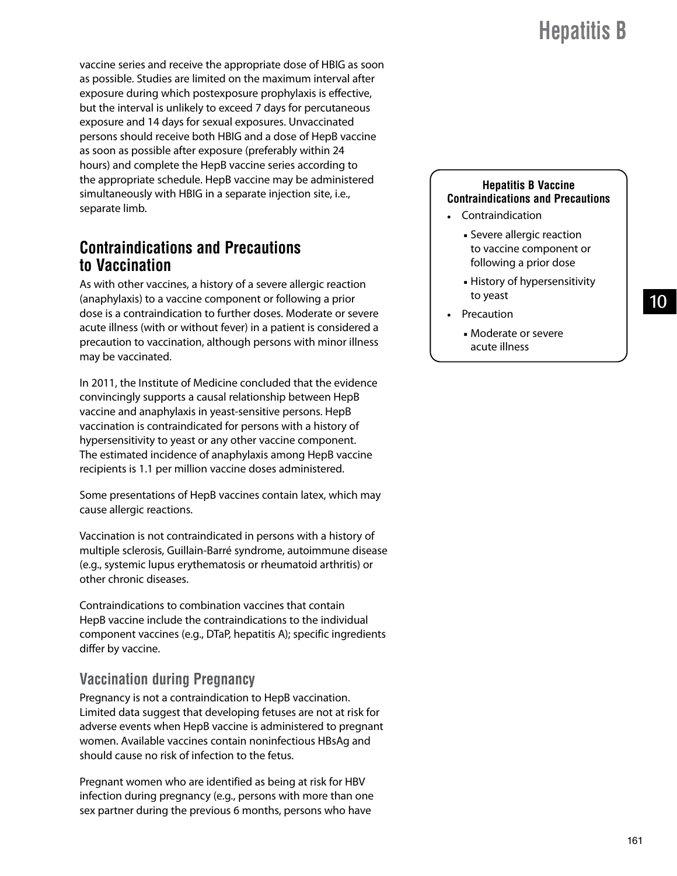10

vaccine series and receive the appropriate dose of HBIG as soon as possible. Studies are limited on the maximum interval after exposure during which postexposure prophylaxis is effective, but the interval is unlikely to exceed 7 days for percutaneous exposure and 14 days for sexual exposures. Unvaccinated persons should receive both HBIG and a dose of HepB vaccine as soon as possible after exposure (preferably within 24 hours) and complete the HepB vaccine series according to the appropriate schedule. HepB vaccine may be administered simultaneously with HBIG in a separate injection site, i.e., separate limb.

### **Contraindications and Precautions to Vaccination**

As with other vaccines, a history of a severe allergic reaction (anaphylaxis) to a vaccine component or following a prior dose is a contraindication to further doses. Moderate or severe acute illness (with or without fever) in a patient is considered a precaution to vaccination, although persons with minor illness may be vaccinated.

In 2011, the Institute of Medicine concluded that the evidence convincingly supports a causal relationship between HepB vaccine and anaphylaxis in yeast-sensitive persons. HepB vaccination is contraindicated for persons with a history of hypersensitivity to yeast or any other vaccine component. The estimated incidence of anaphylaxis among HepB vaccine recipients is 1.1 per million vaccine doses administered.

Some presentations of HepB vaccines contain latex, which may cause allergic reactions.

Vaccination is not contraindicated in persons with a history of multiple sclerosis, Guillain-Barré syndrome, autoimmune disease (e.g., systemic lupus erythematosis or rheumatoid arthritis) or other chronic diseases.

Contraindications to combination vaccines that contain HepB vaccine include the contraindications to the individual component vaccines (e.g., DTaP, hepatitis A); specific ingredients differ by vaccine.

### **Vaccination during Pregnancy**

Pregnancy is not a contraindication to HepB vaccination. Limited data suggest that developing fetuses are not at risk for adverse events when HepB vaccine is administered to pregnant women. Available vaccines contain noninfectious HBsAg and should cause no risk of infection to the fetus.

Pregnant women who are identified as being at risk for HBV infection during pregnancy (e.g., persons with more than one sex partner during the previous 6 months, persons who have

#### **Hepatitis B Vaccine Contraindications and Precautions**

- Contraindication
	- Severe allergic reaction to vaccine component or following a prior dose
	- History of hypersensitivity to yeast
- Precaution
	- Moderate or severe acute illness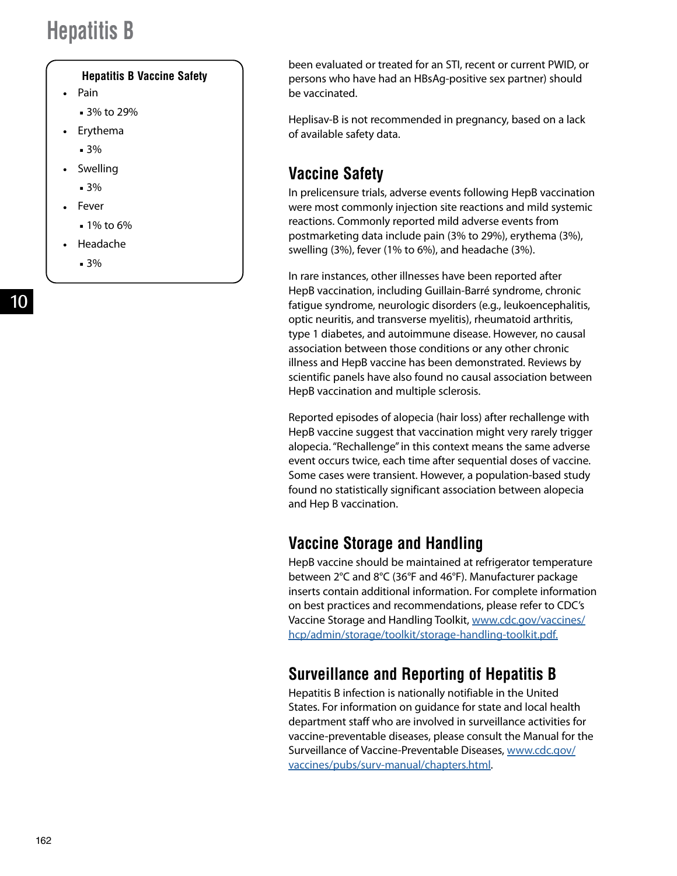#### **Hepatitis B Vaccine Safety**

- Pain
	- 3% to 29%
- Erythema
	- 3%
- Swelling
	- 3%
- Fever
	- 1% to 6%
- Headache
	- 3%

been evaluated or treated for an STI, recent or current PWID, or persons who have had an HBsAg-positive sex partner) should be vaccinated.

Heplisav-B is not recommended in pregnancy, based on a lack of available safety data.

## **Vaccine Safety**

In prelicensure trials, adverse events following HepB vaccination were most commonly injection site reactions and mild systemic reactions. Commonly reported mild adverse events from postmarketing data include pain (3% to 29%), erythema (3%), swelling (3%), fever (1% to 6%), and headache (3%).

In rare instances, other illnesses have been reported after HepB vaccination, including Guillain-Barré syndrome, chronic fatigue syndrome, neurologic disorders (e.g., leukoencephalitis, optic neuritis, and transverse myelitis), rheumatoid arthritis, type 1 diabetes, and autoimmune disease. However, no causal association between those conditions or any other chronic illness and HepB vaccine has been demonstrated. Reviews by scientific panels have also found no causal association between HepB vaccination and multiple sclerosis.

Reported episodes of alopecia (hair loss) after rechallenge with HepB vaccine suggest that vaccination might very rarely trigger alopecia. "Rechallenge" in this context means the same adverse event occurs twice, each time after sequential doses of vaccine. Some cases were transient. However, a population-based study found no statistically significant association between alopecia and Hep B vaccination.

### **Vaccine Storage and Handling**

HepB vaccine should be maintained at refrigerator temperature between 2°C and 8°C (36°F and 46°F). Manufacturer package inserts contain additional information. For complete information on best practices and recommendations, please refer to CDC's Vaccine Storage and Handling Toolkit, [www.cdc.gov/vaccines/](http://www.cdc.gov/vaccines/hcp/admin/storage/toolkit/storage-handling-toolkit.pdf) [hcp/admin/storage/toolkit/storage-handling-toolkit.pdf.](http://www.cdc.gov/vaccines/hcp/admin/storage/toolkit/storage-handling-toolkit.pdf)

## **Surveillance and Reporting of Hepatitis B**

Hepatitis B infection is nationally notifiable in the United States. For information on guidance for state and local health department staff who are involved in surveillance activities for vaccine-preventable diseases, please consult the Manual for the Surveillance of Vaccine-Preventable Diseases, [www.cdc.gov/](http://www.cdc.gov/vaccines/pubs/surv-manual/chapters.html) [vaccines/pubs/surv-manual/chapters.html.](http://www.cdc.gov/vaccines/pubs/surv-manual/chapters.html)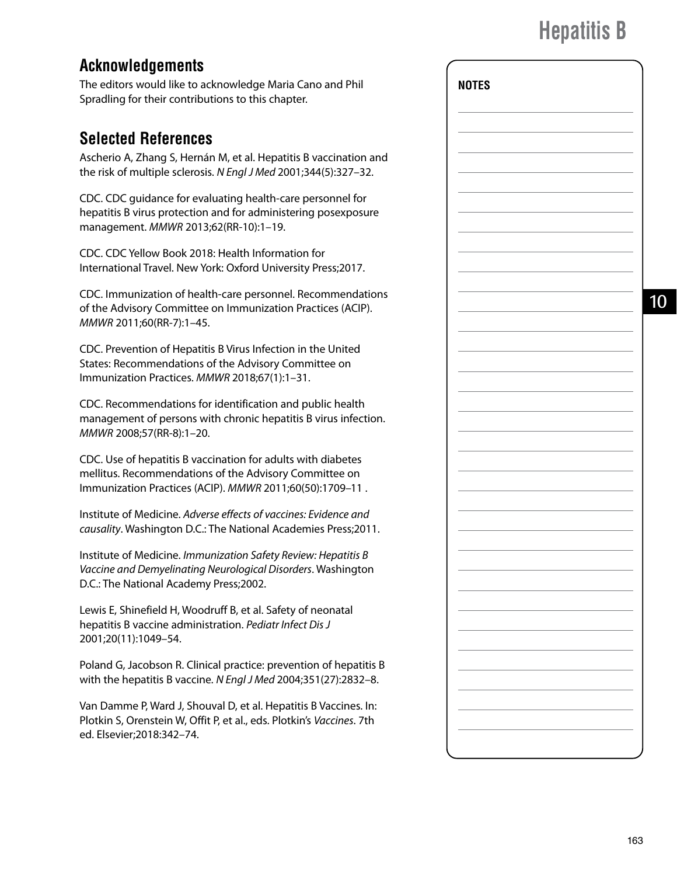**NOTES**

10

## **Acknowledgements**

The editors would like to acknowledge Maria Cano and Phil Spradling for their contributions to this chapter.

### **Selected References**

Ascherio A, Zhang S, Hernán M, et al. Hepatitis B vaccination and the risk of multiple sclerosis. *N Engl J Med* 2001;344(5):327–32.

CDC. CDC guidance for evaluating health-care personnel for hepatitis B virus protection and for administering posexposure management. *MMWR* 2013;62(RR-10):1–19.

CDC. CDC Yellow Book 2018: Health Information for International Travel. New York: Oxford University Press;2017.

CDC. Immunization of health-care personnel. Recommendations of the Advisory Committee on Immunization Practices (ACIP). *MMWR* 2011;60(RR-7):1–45.

CDC. Prevention of Hepatitis B Virus Infection in the United States: Recommendations of the Advisory Committee on Immunization Practices. *MMWR* 2018;67(1):1–31.

CDC. Recommendations for identification and public health management of persons with chronic hepatitis B virus infection. *MMWR* 2008;57(RR-8):1–20.

CDC. Use of hepatitis B vaccination for adults with diabetes mellitus. Recommendations of the Advisory Committee on Immunization Practices (ACIP). *MMWR* 2011;60(50):1709–11 .

Institute of Medicine. *Adverse effects of vaccines: Evidence and causality*. Washington D.C.: The National Academies Press;2011.

Institute of Medicine. *Immunization Safety Review: Hepatitis B Vaccine and Demyelinating Neurological Disorders*. Washington D.C.: The National Academy Press;2002.

Lewis E, Shinefield H, Woodruff B, et al. Safety of neonatal hepatitis B vaccine administration. *Pediatr Infect Dis J*  2001;20(11):1049–54.

Poland G, Jacobson R. Clinical practice: prevention of hepatitis B with the hepatitis B vaccine. *N Engl J Med* 2004;351(27):2832–8.

Van Damme P, Ward J, Shouval D, et al. Hepatitis B Vaccines. In: Plotkin S, Orenstein W, Offit P, et al., eds. Plotkin's *Vaccines*. 7th ed. Elsevier;2018:342–74.